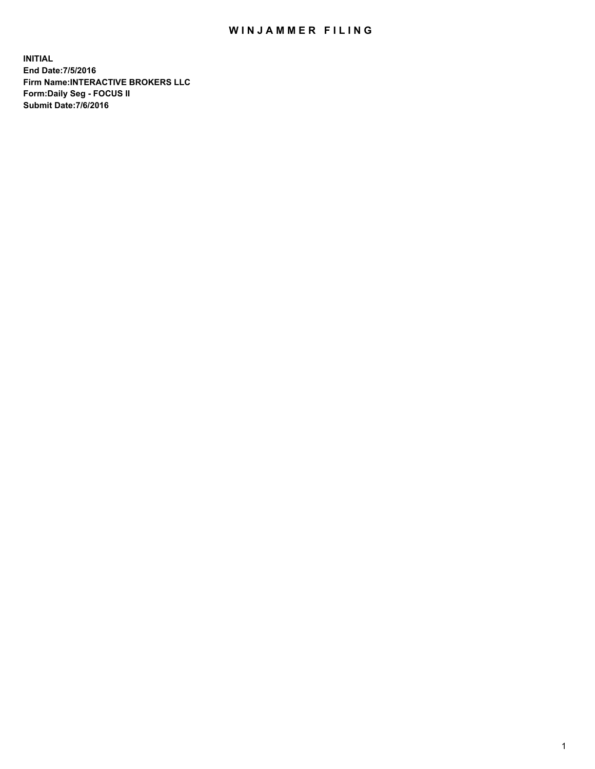## WIN JAMMER FILING

**INITIAL End Date:7/5/2016 Firm Name:INTERACTIVE BROKERS LLC Form:Daily Seg - FOCUS II Submit Date:7/6/2016**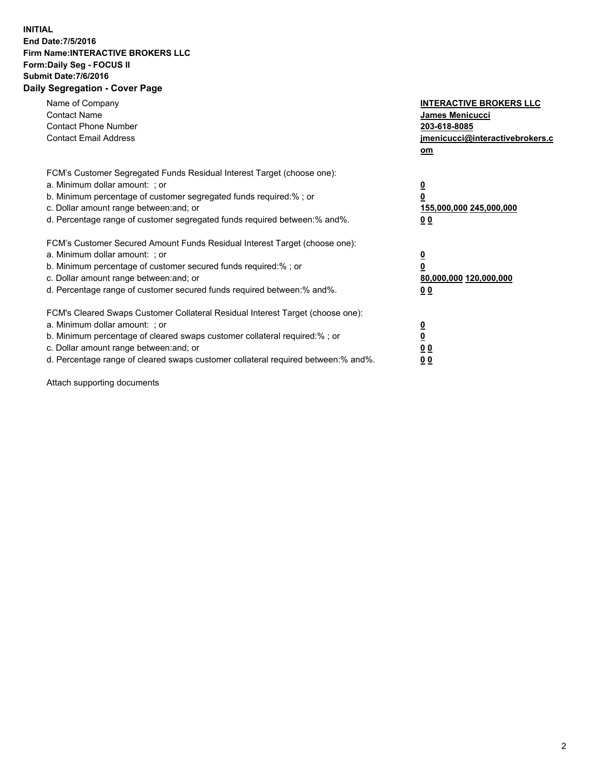## **INITIAL End Date:7/5/2016 Firm Name:INTERACTIVE BROKERS LLC Form:Daily Seg - FOCUS II Submit Date:7/6/2016 Daily Segregation - Cover Page**

| Name of Company<br><b>Contact Name</b><br><b>Contact Phone Number</b><br><b>Contact Email Address</b>                                                                                                                                                                                                                          | <b>INTERACTIVE BROKERS LLC</b><br>James Menicucci<br>203-618-8085<br>jmenicucci@interactivebrokers.c<br>om |
|--------------------------------------------------------------------------------------------------------------------------------------------------------------------------------------------------------------------------------------------------------------------------------------------------------------------------------|------------------------------------------------------------------------------------------------------------|
| FCM's Customer Segregated Funds Residual Interest Target (choose one):<br>a. Minimum dollar amount: ; or<br>b. Minimum percentage of customer segregated funds required:%; or<br>c. Dollar amount range between: and; or<br>d. Percentage range of customer segregated funds required between:% and%.                          | $\overline{\mathbf{0}}$<br>$\overline{\mathbf{0}}$<br>155,000,000 245,000,000<br>00                        |
| FCM's Customer Secured Amount Funds Residual Interest Target (choose one):<br>a. Minimum dollar amount: ; or<br>b. Minimum percentage of customer secured funds required:%; or<br>c. Dollar amount range between: and; or<br>d. Percentage range of customer secured funds required between: % and %.                          | $\overline{\mathbf{0}}$<br>0<br>80,000,000 120,000,000<br>00                                               |
| FCM's Cleared Swaps Customer Collateral Residual Interest Target (choose one):<br>a. Minimum dollar amount: ; or<br>b. Minimum percentage of cleared swaps customer collateral required:% ; or<br>c. Dollar amount range between: and; or<br>d. Percentage range of cleared swaps customer collateral required between:% and%. | $\overline{\mathbf{0}}$<br>$\underline{\mathbf{0}}$<br>0 <sub>0</sub><br>0 <sub>0</sub>                    |

Attach supporting documents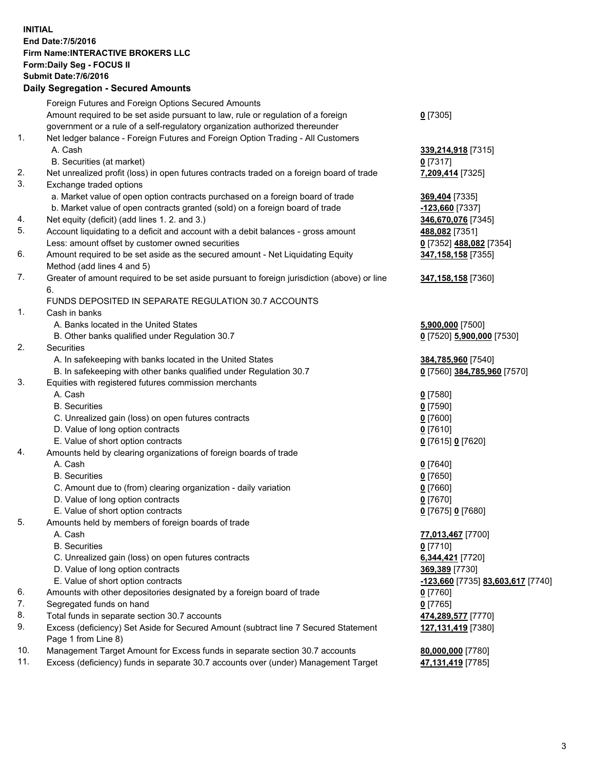## **INITIAL End Date:7/5/2016 Firm Name:INTERACTIVE BROKERS LLC Form:Daily Seg - FOCUS II Submit Date:7/6/2016 Daily Segregation - Secured Amounts**

|     | Dany Ocgregation - Oceanea Annoanta                                                         |                                   |
|-----|---------------------------------------------------------------------------------------------|-----------------------------------|
|     | Foreign Futures and Foreign Options Secured Amounts                                         |                                   |
|     | Amount required to be set aside pursuant to law, rule or regulation of a foreign            | $0$ [7305]                        |
|     | government or a rule of a self-regulatory organization authorized thereunder                |                                   |
| 1.  | Net ledger balance - Foreign Futures and Foreign Option Trading - All Customers             |                                   |
|     | A. Cash                                                                                     | 339,214,918 [7315]                |
|     | B. Securities (at market)                                                                   | $0$ [7317]                        |
| 2.  | Net unrealized profit (loss) in open futures contracts traded on a foreign board of trade   | 7,209,414 [7325]                  |
| 3.  | Exchange traded options                                                                     |                                   |
|     | a. Market value of open option contracts purchased on a foreign board of trade              | 369,404 [7335]                    |
|     | b. Market value of open contracts granted (sold) on a foreign board of trade                | <u>-123,660</u> [7337]            |
| 4.  | Net equity (deficit) (add lines 1.2. and 3.)                                                | 346,670,076 [7345]                |
| 5.  | Account liquidating to a deficit and account with a debit balances - gross amount           | 488,082 [7351]                    |
|     | Less: amount offset by customer owned securities                                            | 0 [7352] 488,082 [7354]           |
| 6.  | Amount required to be set aside as the secured amount - Net Liquidating Equity              | 347,158,158 [7355]                |
|     | Method (add lines 4 and 5)                                                                  |                                   |
| 7.  | Greater of amount required to be set aside pursuant to foreign jurisdiction (above) or line | 347,158,158 [7360]                |
|     | 6.                                                                                          |                                   |
|     | FUNDS DEPOSITED IN SEPARATE REGULATION 30.7 ACCOUNTS                                        |                                   |
| 1.  | Cash in banks                                                                               |                                   |
|     | A. Banks located in the United States                                                       | 5,900,000 [7500]                  |
|     | B. Other banks qualified under Regulation 30.7                                              | 0 [7520] 5,900,000 [7530]         |
| 2.  | Securities                                                                                  |                                   |
|     | A. In safekeeping with banks located in the United States                                   | 384,785,960 [7540]                |
|     | B. In safekeeping with other banks qualified under Regulation 30.7                          | 0 [7560] 384,785,960 [7570]       |
| 3.  | Equities with registered futures commission merchants                                       |                                   |
|     | A. Cash                                                                                     | $0$ [7580]                        |
|     | <b>B.</b> Securities                                                                        | $0$ [7590]                        |
|     | C. Unrealized gain (loss) on open futures contracts                                         | $0$ [7600]                        |
|     | D. Value of long option contracts                                                           | $0$ [7610]                        |
|     | E. Value of short option contracts                                                          | 0 [7615] 0 [7620]                 |
| 4.  | Amounts held by clearing organizations of foreign boards of trade                           |                                   |
|     | A. Cash                                                                                     | $0$ [7640]                        |
|     | <b>B.</b> Securities                                                                        | $0$ [7650]                        |
|     | C. Amount due to (from) clearing organization - daily variation                             | $0$ [7660]                        |
|     | D. Value of long option contracts                                                           | $0$ [7670]                        |
|     | E. Value of short option contracts                                                          | 0 [7675] 0 [7680]                 |
| 5.  | Amounts held by members of foreign boards of trade                                          |                                   |
|     | A. Cash                                                                                     | 77,013,467 [7700]                 |
|     | <b>B.</b> Securities                                                                        | $0$ [7710]                        |
|     | C. Unrealized gain (loss) on open futures contracts                                         | 6,344,421 [7720]                  |
|     | D. Value of long option contracts                                                           | 369,389 [7730]                    |
|     | E. Value of short option contracts                                                          | -123,660 [7735] 83,603,617 [7740] |
| 6.  | Amounts with other depositories designated by a foreign board of trade                      | 0 [7760]                          |
| 7.  | Segregated funds on hand                                                                    | $0$ [7765]                        |
| 8.  | Total funds in separate section 30.7 accounts                                               | 474,289,577 [7770]                |
| 9.  | Excess (deficiency) Set Aside for Secured Amount (subtract line 7 Secured Statement         | 127,131,419 [7380]                |
|     | Page 1 from Line 8)                                                                         |                                   |
| 10. | Management Target Amount for Excess funds in separate section 30.7 accounts                 | 80,000,000 [7780]                 |
| 11. | Excess (deficiency) funds in separate 30.7 accounts over (under) Management Target          | 47,131,419 [7785]                 |
|     |                                                                                             |                                   |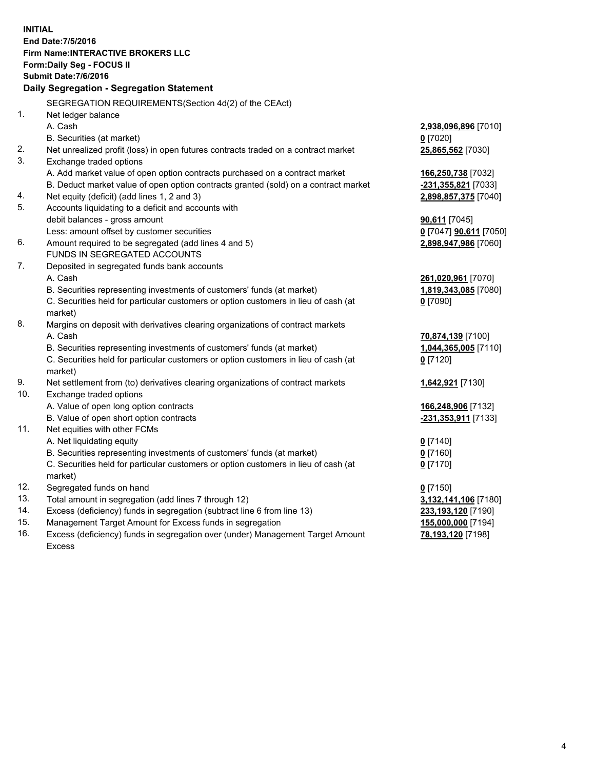**INITIAL End Date:7/5/2016 Firm Name:INTERACTIVE BROKERS LLC Form:Daily Seg - FOCUS II Submit Date:7/6/2016 Daily Segregation - Segregation Statement** SEGREGATION REQUIREMENTS(Section 4d(2) of the CEAct) 1. Net ledger balance A. Cash **2,938,096,896** [7010] B. Securities (at market) **0** [7020] 2. Net unrealized profit (loss) in open futures contracts traded on a contract market **25,865,562** [7030] 3. Exchange traded options A. Add market value of open option contracts purchased on a contract market **166,250,738** [7032] B. Deduct market value of open option contracts granted (sold) on a contract market **-231,355,821** [7033] 4. Net equity (deficit) (add lines 1, 2 and 3) **2,898,857,375** [7040] 5. Accounts liquidating to a deficit and accounts with debit balances - gross amount **90,611** [7045] Less: amount offset by customer securities **0** [7047] **90,611** [7050] 6. Amount required to be segregated (add lines 4 and 5) **2,898,947,986** [7060] FUNDS IN SEGREGATED ACCOUNTS 7. Deposited in segregated funds bank accounts A. Cash **261,020,961** [7070] B. Securities representing investments of customers' funds (at market) **1,819,343,085** [7080] C. Securities held for particular customers or option customers in lieu of cash (at market) **0** [7090] 8. Margins on deposit with derivatives clearing organizations of contract markets A. Cash **70,874,139** [7100] B. Securities representing investments of customers' funds (at market) **1,044,365,005** [7110] C. Securities held for particular customers or option customers in lieu of cash (at market) **0** [7120] 9. Net settlement from (to) derivatives clearing organizations of contract markets **1,642,921** [7130] 10. Exchange traded options A. Value of open long option contracts **166,248,906** [7132] B. Value of open short option contracts **-231,353,911** [7133] 11. Net equities with other FCMs A. Net liquidating equity **0** [7140] B. Securities representing investments of customers' funds (at market) **0** [7160] C. Securities held for particular customers or option customers in lieu of cash (at market) **0** [7170] 12. Segregated funds on hand **0** [7150] 13. Total amount in segregation (add lines 7 through 12) **3,132,141,106** [7180] 14. Excess (deficiency) funds in segregation (subtract line 6 from line 13) **233,193,120** [7190] 15. Management Target Amount for Excess funds in segregation **155,000,000** [7194] **78,193,120** [7198]

16. Excess (deficiency) funds in segregation over (under) Management Target Amount Excess